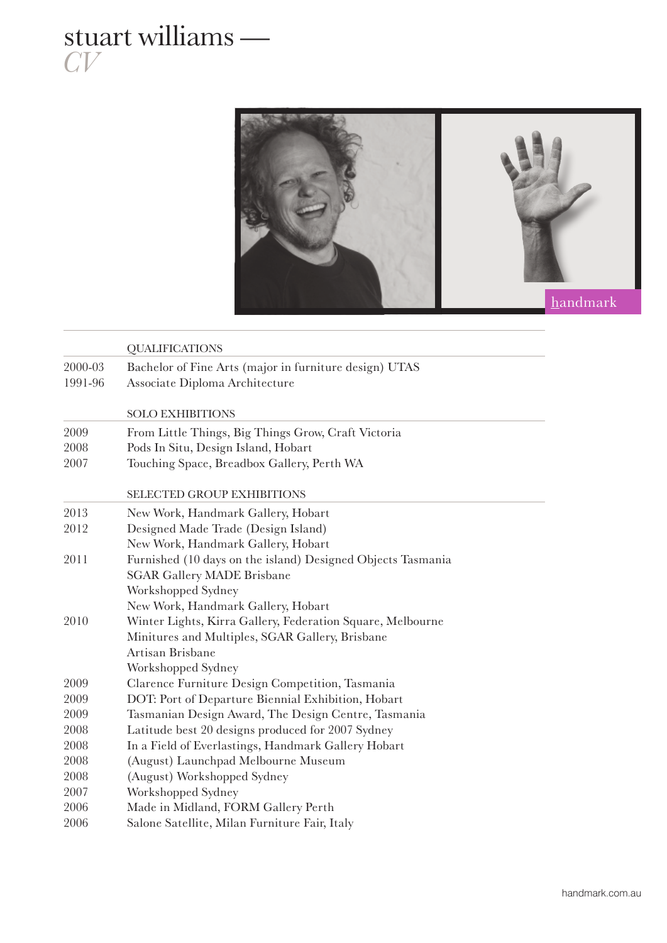## stuart williams — *CV*



|         | <b>QUALIFICATIONS</b>                                       |
|---------|-------------------------------------------------------------|
| 2000-03 | Bachelor of Fine Arts (major in furniture design) UTAS      |
| 1991-96 | Associate Diploma Architecture                              |
|         |                                                             |
|         | <b>SOLO EXHIBITIONS</b>                                     |
| 2009    | From Little Things, Big Things Grow, Craft Victoria         |
| 2008    | Pods In Situ, Design Island, Hobart                         |
| 2007    | Touching Space, Breadbox Gallery, Perth WA                  |
|         | <b>SELECTED GROUP EXHIBITIONS</b>                           |
| 2013    | New Work, Handmark Gallery, Hobart                          |
| 2012    | Designed Made Trade (Design Island)                         |
|         | New Work, Handmark Gallery, Hobart                          |
| 2011    | Furnished (10 days on the island) Designed Objects Tasmania |
|         | <b>SGAR Gallery MADE Brisbane</b>                           |
|         | Workshopped Sydney                                          |
|         | New Work, Handmark Gallery, Hobart                          |
| 2010    | Winter Lights, Kirra Gallery, Federation Square, Melbourne  |
|         | Minitures and Multiples, SGAR Gallery, Brisbane             |
|         | Artisan Brisbane                                            |
|         | Workshopped Sydney                                          |
| 2009    | Clarence Furniture Design Competition, Tasmania             |
| 2009    | DOT: Port of Departure Biennial Exhibition, Hobart          |
| 2009    | Tasmanian Design Award, The Design Centre, Tasmania         |
| 2008    | Latitude best 20 designs produced for 2007 Sydney           |
| 2008    | In a Field of Everlastings, Handmark Gallery Hobart         |
| 2008    | (August) Launchpad Melbourne Museum                         |
| 2008    | (August) Workshopped Sydney                                 |
| 2007    | Workshopped Sydney                                          |
| 2006    | Made in Midland, FORM Gallery Perth                         |
| 2006    | Salone Satellite, Milan Furniture Fair, Italy               |